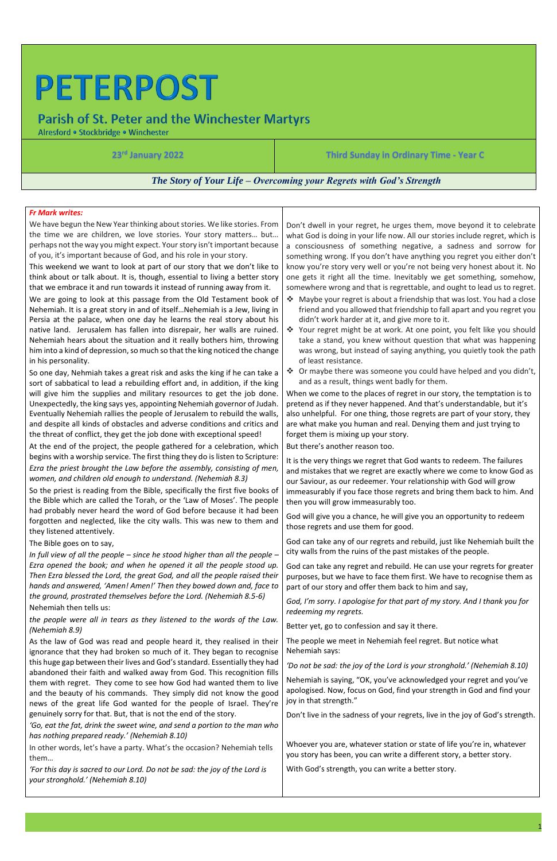# **PETERPOST**

## **Parish of St. Peter and the Winchester Martyrs**

Alresford · Stockbridge · Winchester

1

**23rd January 2022 Third Sunday in Ordinary Time - Year C**

*The Story of Your Life – Overcoming your Regrets with God's Strength*

#### *Fr Mark writes:*

We have begun the New Year thinking about stories. We like stories. From the time we are children, we love stories. Your story matters… but… perhaps not the way you might expect. Your story isn't important because of you, it's important because of God, and his role in your story.

This weekend we want to look at part of our story that we don't like to think about or talk about. It is, though, essential to living a better story that we embrace it and run towards it instead of running away from it.

We are going to look at this passage from the Old Testament book of Nehemiah. It is a great story in and of itself…Nehemiah is a Jew, living in Persia at the palace, when one day he learns the real story about his native land. Jerusalem has fallen into disrepair, her walls are ruined. Nehemiah hears about the situation and it really bothers him, throwing him into a kind of depression, so much so that the king noticed the change in his personality.

So one day, Nehmiah takes a great risk and asks the king if he can take a sort of sabbatical to lead a rebuilding effort and, in addition, if the king will give him the supplies and military resources to get the job done. Unexpectedly, the king says yes, appointing Nehemiah governor of Judah. Eventually Nehemiah rallies the people of Jerusalem to rebuild the walls, and despite all kinds of obstacles and adverse conditions and critics and the threat of conflict, they get the job done with exceptional speed!

At the end of the project, the people gathered for a celebration, which begins with a worship service. The first thing they do is listen to Scripture: *Ezra the priest brought the Law before the assembly, consisting of men, women, and children old enough to understand. (Nehemiah 8.3)*

So the priest is reading from the Bible, specifically the first five books of the Bible which are called the Torah, or the 'Law of Moses'. The people had probably never heard the word of God before because it had been forgotten and neglected, like the city walls. This was new to them and they listened attentively.

The Bible goes on to say,

*In full view of all the people – since he stood higher than all the people – Ezra opened the book; and when he opened it all the people stood up. Then Ezra blessed the Lord, the great God, and all the people raised their hands and answered, 'Amen! Amen!' Then they bowed down and, face to the ground, prostrated themselves before the Lord. (Nehemiah 8.5-6)* Nehemiah then tells us:

*the people were all in tears as they listened to the words of the Law. (Nehemiah 8.9)*

As the law of God was read and people heard it, they realised in their ignorance that they had broken so much of it. They began to recognise this huge gap between their lives and God's standard. Essentially they had abandoned their faith and walked away from God. This recognition fills them with regret. They come to see how God had wanted them to live and the beauty of his commands. They simply did not know the good news of the great life God wanted for the people of Israel. They're genuinely sorry for that. But, that is not the end of the story.

*'Go, eat the fat, drink the sweet wine, and send a portion to the man who has nothing prepared ready.' (Nehemiah 8.10)*

In other words, let's have a party. What's the occasion? Nehemiah tells them…

*'For this day is sacred to our Lord. Do not be sad: the joy of the Lord is your stronghold.' (Nehemiah 8.10)*

Don't dwell in your regret, he urges them, move beyond it to celebrate what God is doing in your life now. All our stories include regret, which is a consciousness of something negative, a sadness and sorrow for something wrong. If you don't have anything you regret you either don't know you're story very well or you're not being very honest about it. No one gets it right all the time. Inevitably we get something, somehow, somewhere wrong and that is regrettable, and ought to lead us to regret.

- ❖ Maybe your regret is about a friendship that was lost. You had a close friend and you allowed that friendship to fall apart and you regret you didn't work harder at it, and give more to it.
- ❖ Your regret might be at work. At one point, you felt like you should take a stand, you knew without question that what was happening was wrong, but instead of saying anything, you quietly took the path of least resistance.
- ❖ Or maybe there was someone you could have helped and you didn't, and as a result, things went badly for them.

When we come to the places of regret in our story, the temptation is to pretend as if they never happened. And that's understandable, but it's also unhelpful. For one thing, those regrets are part of your story, they are what make you human and real. Denying them and just trying to forget them is mixing up your story.

But there's another reason too.

It is the very things we regret that God wants to redeem. The failures and mistakes that we regret are exactly where we come to know God as our Saviour, as our redeemer. Your relationship with God will grow immeasurably if you face those regrets and bring them back to him. And then you will grow immeasurably too.

God will give you a chance, he will give you an opportunity to redeem those regrets and use them for good.

God can take any of our regrets and rebuild, just like Nehemiah built the city walls from the ruins of the past mistakes of the people.

God can take any regret and rebuild. He can use your regrets for greater purposes, but we have to face them first. We have to recognise them as part of our story and offer them back to him and say,

*God, I'm sorry. I apologise for that part of my story. And I thank you for redeeming my regrets.*

Better yet, go to confession and say it there.

The people we meet in Nehemiah feel regret. But notice what Nehemiah says:

*'Do not be sad: the joy of the Lord is your stronghold.' (Nehemiah 8.10)*

Nehemiah is saying, "OK, you've acknowledged your regret and you've apologised. Now, focus on God, find your strength in God and find your joy in that strength."

Don't live in the sadness of your regrets, live in the joy of God's strength.

Whoever you are, whatever station or state of life you're in, whatever you story has been, you can write a different story, a better story.

With God's strength, you can write a better story.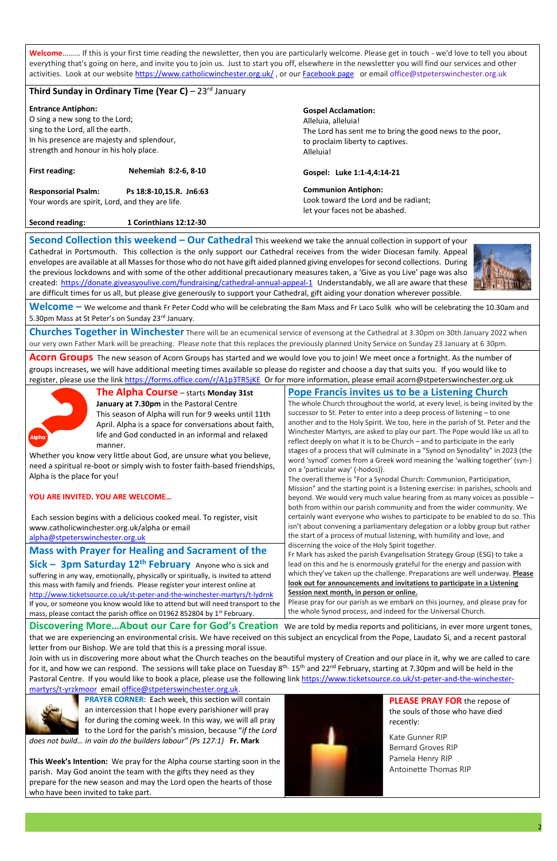**Welcome**……... If this is your first time reading the newsletter, then you are particularly welcome. Please get in touch - we'd love to tell you about everything that's going on here, and invite you to join us. Just to start you off, elsewhere in the newsletter you will find our services and other activiti[e](https://www.catholicwinchester.org.uk/)s. Look at our website <https://www.catholicwinchester.org.uk/>, or our [Facebook page](https://www.facebook.com/catholicwinchester) or email office@stpeterswinchester.org.uk

## **Third Sunday in Ordinary Time (Year C) – 23<sup>rd</sup> January**

**Entrance Antiphon:** O sing a new song to the Lord; sing to the Lord, all the earth. In his presence are majesty and splendour, strength and honour in his holy place. **First reading: Nehemiah 8:2-6, 8-10 Responsorial Psalm: Ps 18:8-10,15.R. Jn6:63** Your words are spirit, Lord, and they are life. **Second reading: 1 Corinthians 12:12-30 Gospel Acclamation:**  Alleluia, alleluia! The Lord has sent me to bring the good news to the poor, to proclaim liberty to captives. Alleluia! **Gospel: Luke 1:1-4,4:14-21 Communion Antiphon:**  Look toward the Lord and be radiant; let your faces not be abashed.

**Welcome –** We welcome and thank Fr Peter Codd who will be celebrating the 8am Mass and Fr Laco Sulik who will be celebrating the 10.30am and 5.30pm Mass at St Peter's on Sunday 23rd January.

**Acorn Groups** The new season of Acorn Groups has started and we would love you to join! We meet once a fortnight. As the number of groups increases, we will have additional meeting times available so please do register and choose a day that suits you. If you would like to register, please use the link <https://forms.office.com/r/A1p3TR5jKE>Or for more information, please email acorn@stpeterswinchester.org.uk



**Second Collection this weekend – Our Cathedral** This weekend we take the annual collection in support of your Cathedral in Portsmouth. This collection is the only support our Cathedral receives from the wider Diocesan family. Appeal envelopes are available at all Masses for those who do not have gift aided planned giving envelopes for second collections. During the previous lockdowns and with some of the other additional precautionary measures taken, a 'Give as you Live' page was also created:<https://donate.giveasyoulive.com/fundraising/cathedral-annual-appeal-1>Understandably, we all are aware that these are difficult times for us all, but please give generously to support your Cathedral, gift aiding your donation wherever possible.



**Churches Together in Winchester** There will be an ecumenical service of evensong at the Cathedral at 3.30pm on 30th January 2022 when our very own Father Mark will be preaching. Please note that this replaces the previously planned Unity Service on Sunday 23 January at 6 30pm.

**Mass with Prayer for Healing and Sacrament of the Sick – 3pm Saturday 12th February** Anyone who is sick and suffering in any way, emotionally, physically or spiritually, is invited to attend this mass with family and friends. Please register your interest online at <http://www.ticketsource.co.uk/st-peter-and-the-winchester-martyrs/t-lydrnk> If you, or someone you know would like to attend but will need transport to the mass, please contact the parish office on 01962 852804 by 1<sup>st</sup> February.

**The Alpha Course** – starts **Monday 31st January at 7.30pm** in the Pastoral Centre This season of Alpha will run for 9 weeks until 11th April. Alpha is a space for conversations about faith, life and God conducted in an informal and relaxed manner.

Whether you know very little about God, are unsure what you believe, need a spiritual re-boot or simply wish to foster faith-based friendships, Alpha is the place for you!

#### **YOU ARE INVITED. YOU ARE WELCOME…**

Each session begins with a delicious cooked meal. To register, visit www.catholicwinchester.org.uk/alpha or email [alpha@stpeterswinchester.org.uk](mailto:alpha@stpeterswinchester.org.uk)

### **Pope Francis invites us to be a Listening Church**

The whole Church throughout the world, at every level, is being invited by the successor to St. Peter to enter into a deep process of listening – to one another and to the Holy Spirit. We too, here in the parish of St. Peter and the Winchester Martyrs, are asked to play our part. The Pope would like us all to reflect deeply on what it is to be Church – and to participate in the early stages of a process that will culminate in a "Synod on Synodality" in 2023 (the word 'synod' comes from a Greek word meaning the 'walking together' (syn-) on a 'particular way' (-hodos)).

The overall theme is "For a Synodal Church: Communion, Participation, Mission" and the starting point is a listening exercise: in parishes, schools and beyond. We would very much value hearing from as many voices as possible – both from within our parish community and from the wider community. We certainly want everyone who wishes to participate to be enabled to do so. This isn't about convening a parliamentary delegation or a lobby group but rather the start of a process of mutual listening, with humility and love, and discerning the voice of the Holy Spirit together.

Fr Mark has asked the parish Evangelisation Strategy Group (ESG) to take a lead on this and he is enormously grateful for the energy and passion with which they've taken up the challenge. Preparations are well underway. **Please look out for announcements and invitations to participate in a Listening Session next month, in person or online.**

Please pray for our parish as we embark on this journey, and please pray for the whole Synod process, and indeed for the Universal Church.

**Discovering More…About our Care for God's Creation** We are told by media reports and politicians, in ever more urgent tones,

that we are experiencing an environmental crisis. We have received on this subject an encyclical from the Pope, Laudato Si, and a recent pastoral letter from our Bishop. We are told that this is a pressing moral issue.

Join with us in discovering more about what the Church teaches on the beautiful mystery of Creation and our place in it, why we are called to care for it, and how we can respond. The sessions will take place on Tuesday 8<sup>th,</sup> 15<sup>th</sup> and 22<sup>nd</sup> February, starting at 7.30pm and will be held in the Pastoral Centre. If you would like to book a place, please use the following link [https://www.ticketsource.co.uk/st-peter-and-the-winchester](https://www.ticketsource.co.uk/st-peter-and-the-winchester-martyrs/t-yrzkmoor)[martyrs/t-yrzkmoor](https://www.ticketsource.co.uk/st-peter-and-the-winchester-martyrs/t-yrzkmoor) email [office@stpeterswinchester.org.uk.](mailto:office@stpeterswinchester.org.uk)

**PRAYER CORNER**: Each week, this section will contain an intercession that I hope every parishioner will pray for during the coming week. In this way, we will all pray to the Lord for the parish's mission, because "*if the Lord* 

*does not build… in vain do the builders labour" (Ps 127:1)* **Fr. Mark**

**This Week's Intention:** We pray for the Alpha course starting soon in the parish. May God anoint the team with the gifts they need as they prepare for the new season and may the Lord open the hearts of those who have been invited to take part.



**PLEASE PRAY FOR** the repose of the souls of those who have died recently:

Kate Gunner RIP Bernard Groves RIP Pamela Henry RIP Antoinette Thomas RIP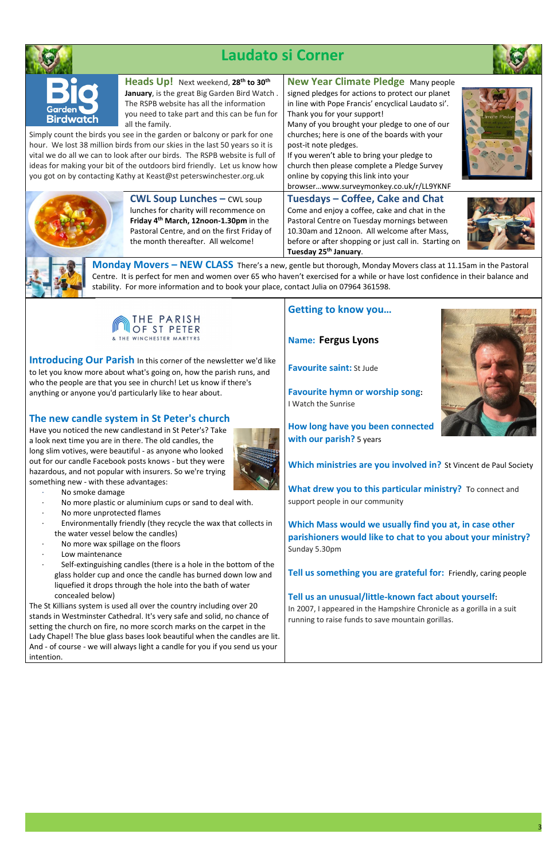

## **Laudato si Corner**





**Heads Up!** Next weekend, **28th to 30th January**, is the great Big Garden Bird Watch . The RSPB website has all the information you need to take part and this can be fun for all the family.

Simply count the birds you see in the garden or balcony or park for one hour. We lost 38 million birds from our skies in the last 50 years so it is vital we do all we can to look after our birds. The RSPB website is full of ideas for making your bit of the outdoors bird friendly. Let us know how you got on by contacting Kathy at Keast@st peterswinchester.org.uk



**New Year Climate Pledge** Many people signed pledges for actions to protect our planet in line with Pope Francis' encyclical Laudato si'.

Thank you for your support! Many of you brought your pledge to one of our churches; here is one of the boards with your post-it note pledges.

If you weren't able to bring your pledge to church then please complete a Pledge Survey online by copying this link into your

browser…www.surveymonkey.co.uk/r/LL9YKNF

**CWL Soup Lunches –** CWL soup lunches for charity will recommence on **Friday 4 th March, 12noon-1.30pm** in the Pastoral Centre, and on the first Friday of the month thereafter. All welcome!

**Tuesdays – Coffee, Cake and Chat**  Come and enjoy a coffee, cake and chat in the Pastoral Centre on Tuesday mornings between 10.30am and 12noon. All welcome after Mass, before or after shopping or just call in. Starting on **Tuesday 25th January**.





- No smoke damage
- No more plastic or aluminium cups or sand to deal with.
- No more unprotected flames
- Environmentally friendly (they recycle the wax that collects in the water vessel below the candles)
- No more wax spillage on the floors
- Low maintenance
- Self-extinguishing candles (there is a hole in the bottom of the glass holder cup and once the candle has burned down low and liquefied it drops through the hole into the bath of water concealed below)

**Monday Movers – NEW CLASS** There's a new, gentle but thorough, Monday Movers class at 11.15am in the Pastoral Centre. It is perfect for men and women over 65 who haven't exercised for a while or have lost confidence in their balance and stability. For more information and to book your place, contact Julia on 07964 361598.



**Introducing Our Parish** In this corner of the newsletter we'd like to let you know more about what's going on, how the parish runs, and who the people are that you see in church! Let us know if there's anything or anyone you'd particularly like to hear about.

## **The new candle system in St Peter's church**

Have you noticed the new candlestand in St Peter's? Take a look next time you are in there. The old candles, the long slim votives, were beautiful - as anyone who looked out for our candle Facebook posts knows - but they were hazardous, and not popular with insurers. So we're trying something new - with these advantages:



The St Killians system is used all over the country including over 20 stands in Westminster Cathedral. It's very safe and solid, no chance of setting the church on fire, no more scorch marks on the carpet in the

| Lady Chapel! The blue glass bases look beautiful when the candles are lit.  |  |
|-----------------------------------------------------------------------------|--|
| And - of course - we will always light a candle for you if you send us your |  |
| l intention.                                                                |  |

## **Getting to know you…**

**Name: Fergus Lyons**

**Favourite saint:** St Jude

**Favourite hymn or worship song:** I Watch the Sunrise



**How long have you been connected with our parish?** 5 years

**Which ministries are you involved in?** St Vincent de Paul Society

**What drew you to this particular ministry?** To connect and support people in our community

**Which Mass would we usually find you at, in case other parishioners would like to chat to you about your ministry?** Sunday 5.30pm

**Tell us something you are grateful for:** Friendly, caring people

### **Tell us an unusual/little-known fact about yourself:**

In 2007, I appeared in the Hampshire Chronicle as a gorilla in a suit running to raise funds to save mountain gorillas.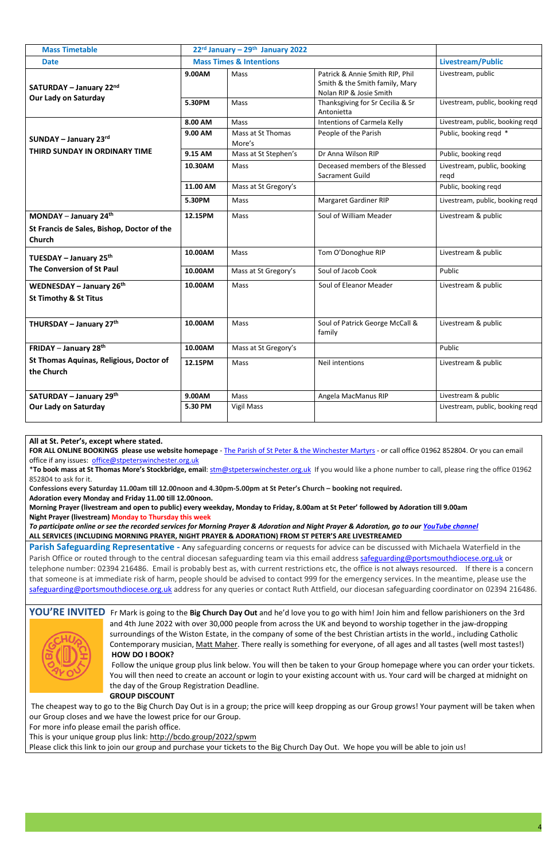| <b>Mass Timetable</b>                                               | 22 <sup>rd</sup> January – 29 <sup>th</sup> January 2022 |                             |                                                                                              |                                     |
|---------------------------------------------------------------------|----------------------------------------------------------|-----------------------------|----------------------------------------------------------------------------------------------|-------------------------------------|
| <b>Date</b>                                                         | <b>Mass Times &amp; Intentions</b>                       |                             |                                                                                              | Livestream/Public                   |
| SATURDAY - January 22nd<br><b>Our Lady on Saturday</b>              | 9.00AM                                                   | Mass                        | Patrick & Annie Smith RIP, Phil<br>Smith & the Smith family, Mary<br>Nolan RIP & Josie Smith | Livestream, public                  |
|                                                                     | 5.30PM                                                   | Mass                        | Thanksgiving for Sr Cecilia & Sr<br>Antonietta                                               | Livestream, public, booking reqd    |
|                                                                     | 8.00 AM                                                  | Mass                        | Intentions of Carmela Kelly                                                                  | Livestream, public, booking reqd    |
| <b>SUNDAY - January 23rd</b>                                        | 9.00 AM                                                  | Mass at St Thomas<br>More's | People of the Parish                                                                         | Public, booking regd *              |
| THIRD SUNDAY IN ORDINARY TIME                                       | 9.15 AM                                                  | Mass at St Stephen's        | Dr Anna Wilson RIP                                                                           | Public, booking reqd                |
|                                                                     | 10.30AM                                                  | Mass                        | Deceased members of the Blessed<br>Sacrament Guild                                           | Livestream, public, booking<br>regd |
|                                                                     | 11.00 AM                                                 | Mass at St Gregory's        |                                                                                              | Public, booking regd                |
|                                                                     | 5.30PM                                                   | Mass                        | <b>Margaret Gardiner RIP</b>                                                                 | Livestream, public, booking reqd    |
| MONDAY - January 24th                                               | 12.15PM                                                  | Mass                        | Soul of William Meader                                                                       | Livestream & public                 |
| St Francis de Sales, Bishop, Doctor of the<br><b>Church</b>         |                                                          |                             |                                                                                              |                                     |
| TUESDAY - January 25th                                              | 10.00AM                                                  | Mass                        | Tom O'Donoghue RIP                                                                           | Livestream & public                 |
| The Conversion of St Paul                                           | 10.00AM                                                  | Mass at St Gregory's        | Soul of Jacob Cook                                                                           | Public                              |
| <b>WEDNESDAY – January 26th</b><br><b>St Timothy &amp; St Titus</b> | 10.00AM                                                  | Mass                        | Soul of Eleanor Meader                                                                       | Livestream & public                 |
| THURSDAY - January 27th                                             | 10.00AM                                                  | Mass                        | Soul of Patrick George McCall &<br>family                                                    | Livestream & public                 |
| <b>FRIDAY</b> – January 28 <sup>th</sup>                            | 10.00AM                                                  | Mass at St Gregory's        |                                                                                              | Public                              |
| St Thomas Aquinas, Religious, Doctor of<br>the Church               | 12.15PM                                                  | Mass                        | Neil intentions                                                                              | Livestream & public                 |
| <b>SATURDAY - January 29th</b>                                      | 9.00AM                                                   | Mass                        | Angela MacManus RIP                                                                          | Livestream & public                 |
| <b>Our Lady on Saturday</b>                                         | 5.30 PM                                                  | <b>Vigil Mass</b>           |                                                                                              | Livestream, public, booking reqd    |

**All at St. Peter's, except where stated.** 

**FOR ALL ONLINE BOOKINGS please use website homepage** - The Parish of St Peter & the [Winchester](https://catholicwinchester.org.uk/) Martyrs - or call office 01962 852804. Or you can email office if any issues: [office@stpeterswinchester.org.uk](mailto:office@stpeterswinchester.org.uk)

\***To book mass at St Thomas More's Stockbridge, email**: [stm@stpeterswinchester.org.uk](mailto:stm@stpeterswinchester.org.uk) If you would like a phone number to call, please ring the office 01962 852804 to ask for it.

**Confessions every Saturday 11.00am till 12.00noon and 4.30pm-5.00pm at St Peter's Church – booking not required.** 

**Adoration every Monday and Friday 11.00 till 12.00noon.**

**Morning Prayer (livestream and open to public) every weekday, Monday to Friday, 8.00am at St Peter' followed by Adoration till 9.00am Night Prayer (livestream) Monday to Thursday this week** 

*To participate online or see the recorded services for Morning Prayer & Adoration and Night Prayer & Adoration, go to our [YouTube channel](https://www.youtube.com/channel/UCbGgrcbDyLY75pmCAopfLIg/live)* **ALL SERVICES (INCLUDING MORNING PRAYER, NIGHT PRAYER & ADORATION) FROM ST PETER'S ARE LIVESTREAMED**

**Parish Safeguarding Representative** - Any safeguarding concerns or requests for advice can be discussed with Michaela Waterfield in the Parish Office or routed through to the central diocesan safeguarding team via this email addres[s safeguarding@portsmouthdiocese.org.uk](mailto:safeguarding@portsmouthdiocese.org.uk) or telephone number: 02394 216486. Email is probably best as, with current restrictions etc, the office is not always resourced. If there is a concern that someone is at immediate risk of harm, people should be advised to contact 999 for the emergency services. In the meantime, please use the [safeguarding@portsmouthdiocese.org.uk](mailto:safeguarding@portsmouthdiocese.org.uk) address for any queries or contact Ruth Attfield, our diocesan safeguarding coordinator on 02394 216486.



**YOU'RE INVITED** Fr Mark is going to the **Big Church Day Out** and he'd love you to go with him! Join him and fellow parishioners on the 3rd and 4th June 2022 with over 30,000 people from across the UK and beyond to worship together in the jaw-dropping surroundings of the Wiston Estate, in the company of some of the best Christian artists in the world., including Catholic Contemporary musician, Matt [Maher.](https://en.wikipedia.org/wiki/Matt_Maher) There really is something for everyone, of all ages and all tastes (well most tastes!) **HOW DO I BOOK?**



Follow the unique group plus link below. You will then be taken to your Group homepage where you can order your tickets. You will then need to create an account or login to your existing account with us. Your card will be charged at midnight on the day of the Group Registration Deadline.

#### **GROUP DISCOUNT**

The cheapest way to go to the Big Church Day Out is in a group; the price will keep dropping as our Group grows! Your payment will be taken when our Group closes and we have the lowest price for our Group.

For more info please email the parish office.

This is your unique group plus link: <http://bcdo.group/2022/spwm>

Please click this link to join our group and purchase your tickets to the Big Church Day Out. We hope you will be able to join us!